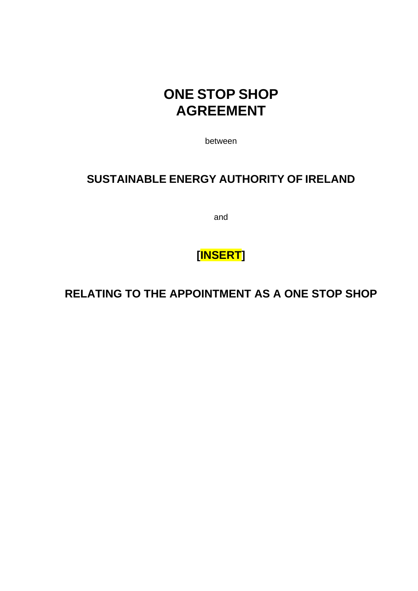# **ONE STOP SHOP AGREEMENT**

between

# **SUSTAINABLE ENERGY AUTHORITY OF IRELAND**

and

# **[INSERT]**

# **RELATING TO THE APPOINTMENT AS A ONE STOP SHOP**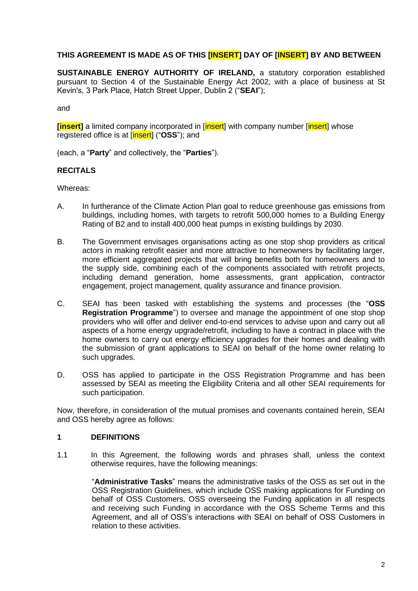#### **THIS AGREEMENT IS MADE AS OF THIS [INSERT] DAY OF [INSERT] BY AND BETWEEN**

**SUSTAINABLE ENERGY AUTHORITY OF IRELAND,** a statutory corporation established pursuant to Section 4 of the Sustainable Energy Act 2002, with a place of business at St Kevin's, 3 Park Place, Hatch Street Upper, Dublin 2 ("**SEAI**");

#### and

**[insert]** a limited company incorporated in [insert] with company number [insert] whose registered office is at [insert] ("**OSS**"); and

(each, a "**Party**" and collectively, the "**Parties**").

#### **RECITALS**

Whereas:

- A. In furtherance of the Climate Action Plan goal to reduce greenhouse gas emissions from buildings, including homes, with targets to retrofit 500,000 homes to a Building Energy Rating of B2 and to install 400,000 heat pumps in existing buildings by 2030.
- B. The Government envisages organisations acting as one stop shop providers as critical actors in making retrofit easier and more attractive to homeowners by facilitating larger, more efficient aggregated projects that will bring benefits both for homeowners and to the supply side, combining each of the components associated with retrofit projects, including demand generation, home assessments, grant application, contractor engagement, project management, quality assurance and finance provision.
- C. SEAI has been tasked with establishing the systems and processes (the "**OSS Registration Programme**") to oversee and manage the appointment of one stop shop providers who will offer and deliver end-to-end services to advise upon and carry out all aspects of a home energy upgrade/retrofit, including to have a contract in place with the home owners to carry out energy efficiency upgrades for their homes and dealing with the submission of grant applications to SEAI on behalf of the home owner relating to such upgrades.
- D. OSS has applied to participate in the OSS Registration Programme and has been assessed by SEAI as meeting the Eligibility Criteria and all other SEAI requirements for such participation.

Now, therefore, in consideration of the mutual promises and covenants contained herein, SEAI and OSS hereby agree as follows:

#### **1 DEFINITIONS**

1.1 In this Agreement, the following words and phrases shall, unless the context otherwise requires, have the following meanings:

> "**Administrative Tasks**" means the administrative tasks of the OSS as set out in the OSS Registration Guidelines, which include OSS making applications for Funding on behalf of OSS Customers, OSS overseeing the Funding application in all respects and receiving such Funding in accordance with the OSS Scheme Terms and this Agreement, and all of OSS's interactions with SEAI on behalf of OSS Customers in relation to these activities.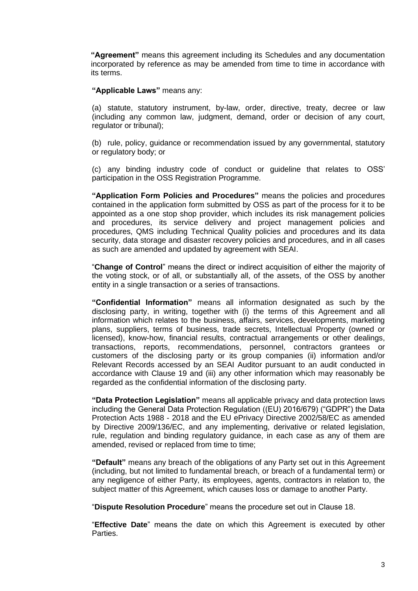**"Agreement"** means this agreement including its Schedules and any documentation incorporated by reference as may be amended from time to time in accordance with its terms.

**"Applicable Laws"** means any:

(a) statute, statutory instrument, by-law, order, directive, treaty, decree or law (including any common law, judgment, demand, order or decision of any court, regulator or tribunal);

(b) rule, policy, guidance or recommendation issued by any governmental, statutory or regulatory body; or

(c) any binding industry code of conduct or guideline that relates to OSS' participation in the OSS Registration Programme.

**"Application Form Policies and Procedures"** means the policies and procedures contained in the application form submitted by OSS as part of the process for it to be appointed as a one stop shop provider, which includes its risk management policies and procedures, its service delivery and project management policies and procedures, QMS including Technical Quality policies and procedures and its data security, data storage and disaster recovery policies and procedures, and in all cases as such are amended and updated by agreement with SEAI.

"**Change of Control**" means the direct or indirect acquisition of either the majority of the voting stock, or of all, or substantially all, of the assets, of the OSS by another entity in a single transaction or a series of transactions.

**"Confidential Information"** means all information designated as such by the disclosing party, in writing, together with (i) the terms of this Agreement and all information which relates to the business, affairs, services, developments, marketing plans, suppliers, terms of business, trade secrets, Intellectual Property (owned or licensed), know-how, financial results, contractual arrangements or other dealings, transactions, reports, recommendations, personnel, contractors grantees or customers of the disclosing party or its group companies (ii) information and/or Relevant Records accessed by an SEAI Auditor pursuant to an audit conducted in accordance with Clause [19](#page-17-0) and (iii) any other information which may reasonably be regarded as the confidential information of the disclosing party.

**"Data Protection Legislation"** means all applicable privacy and data protection laws including the General Data Protection Regulation ((EU) 2016/679) ("GDPR") the Data Protection Acts 1988 - 2018 and the EU ePrivacy Directive 2002/58/EC as amended by Directive 2009/136/EC, and any implementing, derivative or related legislation, rule, regulation and binding regulatory guidance, in each case as any of them are amended, revised or replaced from time to time;

**"Default"** means any breach of the obligations of any Party set out in this Agreement (including, but not limited to fundamental breach, or breach of a fundamental term) or any negligence of either Party, its employees, agents, contractors in relation to, the subject matter of this Agreement, which causes loss or damage to another Party.

"**Dispute Resolution Procedure**" means the procedure set out in Clause [18.](#page-16-0)

"**Effective Date**" means the date on which this Agreement is executed by other Parties.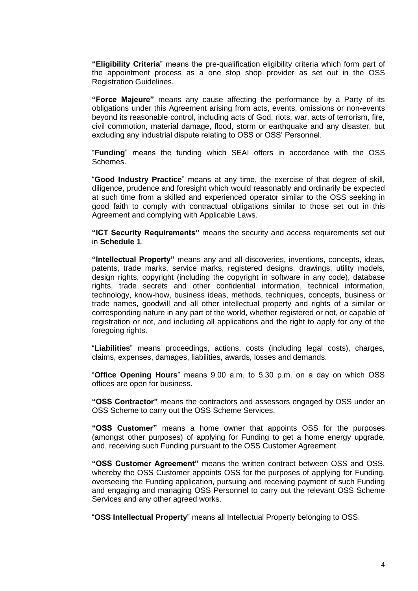**"Eligibility Criteria**" means the pre-qualification eligibility criteria which form part of the appointment process as a one stop shop provider as set out in the OSS Registration Guidelines.

**"Force Majeure"** means any cause affecting the performance by a Party of its obligations under this Agreement arising from acts, events, omissions or non-events beyond its reasonable control, including acts of God, riots, war, acts of terrorism, fire, civil commotion, material damage, flood, storm or earthquake and any disaster, but excluding any industrial dispute relating to OSS or OSS' Personnel.

"**Funding**" means the funding which SEAI offers in accordance with the OSS Schemes.

"**Good Industry Practice**" means at any time, the exercise of that degree of skill, diligence, prudence and foresight which would reasonably and ordinarily be expected at such time from a skilled and experienced operator similar to the OSS seeking in good faith to comply with contractual obligations similar to those set out in this Agreement and complying with Applicable Laws.

**"ICT Security Requirements"** means the security and access requirements set out in **[Schedule 1](#page-19-0)**.

**"Intellectual Property"** means any and all discoveries, inventions, concepts, ideas, patents, trade marks, service marks, registered designs, drawings, utility models, design rights, copyright (including the copyright in software in any code), database rights, trade secrets and other confidential information, technical information, technology, know-how, business ideas, methods, techniques, concepts, business or trade names, goodwill and all other intellectual property and rights of a similar or corresponding nature in any part of the world, whether registered or not, or capable of registration or not, and including all applications and the right to apply for any of the foregoing rights.

"**Liabilities**" means proceedings, actions, costs (including legal costs), charges, claims, expenses, damages, liabilities, awards, losses and demands.

"**Office Opening Hours**" means 9.00 a.m. to 5.30 p.m. on a day on which OSS offices are open for business.

**"OSS Contractor"** means the contractors and assessors engaged by OSS under an OSS Scheme to carry out the OSS Scheme Services.

**"OSS Customer"** means a home owner that appoints OSS for the purposes (amongst other purposes) of applying for Funding to get a home energy upgrade, and, receiving such Funding pursuant to the OSS Customer Agreement.

**"OSS Customer Agreement"** means the written contract between OSS and OSS, whereby the OSS Customer appoints OSS for the purposes of applying for Funding, overseeing the Funding application, pursuing and receiving payment of such Funding and engaging and managing OSS Personnel to carry out the relevant OSS Scheme Services and any other agreed works.

"**OSS Intellectual Property**" means all Intellectual Property belonging to OSS.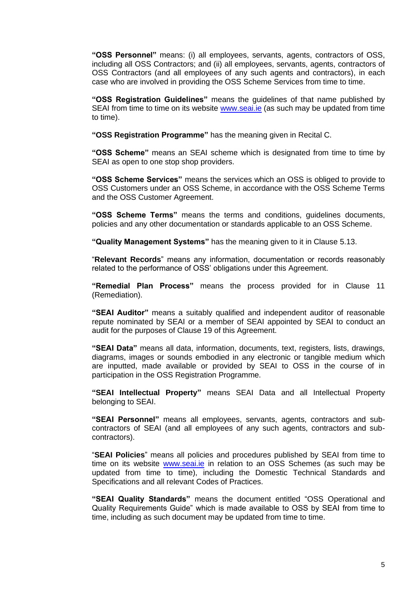**"OSS Personnel"** means: (i) all employees, servants, agents, contractors of OSS, including all OSS Contractors; and (ii) all employees, servants, agents, contractors of OSS Contractors (and all employees of any such agents and contractors), in each case who are involved in providing the OSS Scheme Services from time to time.

**"OSS Registration Guidelines"** means the guidelines of that name published by SEAI from time to time on its website [www.seai.ie](http://www.seai.ie/) (as such may be updated from time to time).

**"OSS Registration Programme"** has the meaning given in Recital C.

**"OSS Scheme"** means an SEAI scheme which is designated from time to time by SEAI as open to one stop shop providers.

**"OSS Scheme Services"** means the services which an OSS is obliged to provide to OSS Customers under an OSS Scheme, in accordance with the OSS Scheme Terms and the OSS Customer Agreement.

**"OSS Scheme Terms"** means the terms and conditions, guidelines documents, policies and any other documentation or standards applicable to an OSS Scheme.

**"Quality Management Systems"** has the meaning given to it in Clause [5.13.](#page-10-0)

"**Relevant Records**" means any information, documentation or records reasonably related to the performance of OSS' obligations under this Agreement.

**"Remedial Plan Process"** means the process provided for in Clause 11 (Remediation).

**"SEAI Auditor"** means a suitably qualified and independent auditor of reasonable repute nominated by SEAI or a member of SEAI appointed by SEAI to conduct an audit for the purposes of Clause [19](#page-17-0) of this Agreement.

**"SEAI Data"** means all data, information, documents, text, registers, lists, drawings, diagrams, images or sounds embodied in any electronic or tangible medium which are inputted, made available or provided by SEAI to OSS in the course of in participation in the OSS Registration Programme.

**"SEAI Intellectual Property"** means SEAI Data and all Intellectual Property belonging to SEAI.

**"SEAI Personnel"** means all employees, servants, agents, contractors and subcontractors of SEAI (and all employees of any such agents, contractors and subcontractors).

"**SEAI Policies**" means all policies and procedures published by SEAI from time to time on its website [www.seai.ie](http://www.seai.ie/) in relation to an OSS Schemes (as such may be updated from time to time), including the Domestic Technical Standards and Specifications and all relevant Codes of Practices.

**"SEAI Quality Standards"** means the document entitled "OSS Operational and Quality Requirements Guide" which is made available to OSS by SEAI from time to time, including as such document may be updated from time to time.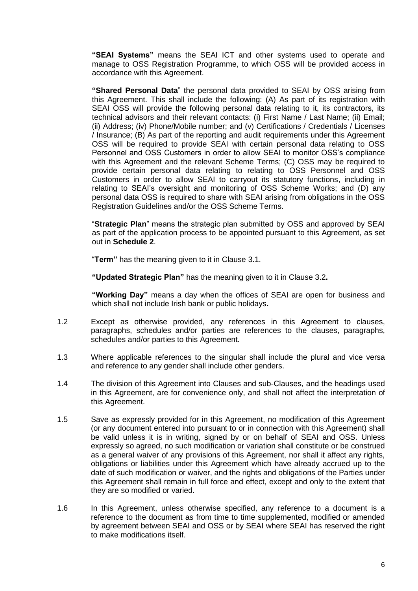**"SEAI Systems"** means the SEAI ICT and other systems used to operate and manage to OSS Registration Programme, to which OSS will be provided access in accordance with this Agreement.

**"Shared Personal Data**" the personal data provided to SEAI by OSS arising from this Agreement. This shall include the following: (A) As part of its registration with SEAI OSS will provide the following personal data relating to it, its contractors, its technical advisors and their relevant contacts: (i) First Name / Last Name; (ii) Email; (ii) Address; (iv) Phone/Mobile number; and (v) Certifications / Credentials / Licenses / Insurance; (B) As part of the reporting and audit requirements under this Agreement OSS will be required to provide SEAI with certain personal data relating to OSS Personnel and OSS Customers in order to allow SEAI to monitor OSS's compliance with this Agreement and the relevant Scheme Terms; (C) OSS may be required to provide certain personal data relating to relating to OSS Personnel and OSS Customers in order to allow SEAI to carryout its statutory functions, including in relating to SEAI's oversight and monitoring of OSS Scheme Works; and (D) any personal data OSS is required to share with SEAI arising from obligations in the OSS Registration Guidelines and/or the OSS Scheme Terms.

"**Strategic Plan**" means the strategic plan submitted by OSS and approved by SEAI as part of the application process to be appointed pursuant to this Agreement, as set out in **Schedule 2**.

"**Term"** has the meaning given to it in Clause [3.1.](#page-7-0)

**"Updated Strategic Plan"** has the meaning given to it in Clause [3.2](#page-7-1)**.**

**"Working Day"** means a day when the offices of SEAI are open for business and which shall not include Irish bank or public holidays**.** 

- 1.2 Except as otherwise provided, any references in this Agreement to clauses, paragraphs, schedules and/or parties are references to the clauses, paragraphs, schedules and/or parties to this Agreement.
- 1.3 Where applicable references to the singular shall include the plural and vice versa and reference to any gender shall include other genders.
- 1.4 The division of this Agreement into Clauses and sub-Clauses, and the headings used in this Agreement, are for convenience only, and shall not affect the interpretation of this Agreement.
- 1.5 Save as expressly provided for in this Agreement, no modification of this Agreement (or any document entered into pursuant to or in connection with this Agreement) shall be valid unless it is in writing, signed by or on behalf of SEAI and OSS. Unless expressly so agreed, no such modification or variation shall constitute or be construed as a general waiver of any provisions of this Agreement, nor shall it affect any rights, obligations or liabilities under this Agreement which have already accrued up to the date of such modification or waiver, and the rights and obligations of the Parties under this Agreement shall remain in full force and effect, except and only to the extent that they are so modified or varied.
- 1.6 In this Agreement, unless otherwise specified, any reference to a document is a reference to the document as from time to time supplemented, modified or amended by agreement between SEAI and OSS or by SEAI where SEAI has reserved the right to make modifications itself.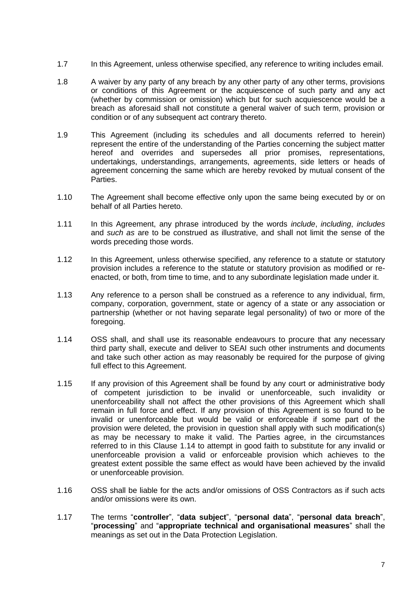- 1.7 In this Agreement, unless otherwise specified, any reference to writing includes email.
- 1.8 A waiver by any party of any breach by any other party of any other terms, provisions or conditions of this Agreement or the acquiescence of such party and any act (whether by commission or omission) which but for such acquiescence would be a breach as aforesaid shall not constitute a general waiver of such term, provision or condition or of any subsequent act contrary thereto.
- 1.9 This Agreement (including its schedules and all documents referred to herein) represent the entire of the understanding of the Parties concerning the subject matter hereof and overrides and supersedes all prior promises, representations, undertakings, understandings, arrangements, agreements, side letters or heads of agreement concerning the same which are hereby revoked by mutual consent of the Parties.
- 1.10 The Agreement shall become effective only upon the same being executed by or on behalf of all Parties hereto.
- 1.11 In this Agreement, any phrase introduced by the words *include*, *including*, *includes* and *such as* are to be construed as illustrative, and shall not limit the sense of the words preceding those words.
- 1.12 In this Agreement, unless otherwise specified, any reference to a statute or statutory provision includes a reference to the statute or statutory provision as modified or reenacted, or both, from time to time, and to any subordinate legislation made under it.
- 1.13 Any reference to a person shall be construed as a reference to any individual, firm, company, corporation, government, state or agency of a state or any association or partnership (whether or not having separate legal personality) of two or more of the foregoing.
- <span id="page-6-0"></span>1.14 OSS shall, and shall use its reasonable endeavours to procure that any necessary third party shall, execute and deliver to SEAI such other instruments and documents and take such other action as may reasonably be required for the purpose of giving full effect to this Agreement.
- 1.15 If any provision of this Agreement shall be found by any court or administrative body of competent jurisdiction to be invalid or unenforceable, such invalidity or unenforceability shall not affect the other provisions of this Agreement which shall remain in full force and effect. If any provision of this Agreement is so found to be invalid or unenforceable but would be valid or enforceable if some part of the provision were deleted, the provision in question shall apply with such modification(s) as may be necessary to make it valid. The Parties agree, in the circumstances referred to in this Clause [1.14](#page-6-0) to attempt in good faith to substitute for any invalid or unenforceable provision a valid or enforceable provision which achieves to the greatest extent possible the same effect as would have been achieved by the invalid or unenforceable provision.
- 1.16 OSS shall be liable for the acts and/or omissions of OSS Contractors as if such acts and/or omissions were its own.
- 1.17 The terms "**controller**", "**data subject**", "**personal data**", "**personal data breach**", "**processing**" and "**appropriate technical and organisational measures**" shall the meanings as set out in the Data Protection Legislation.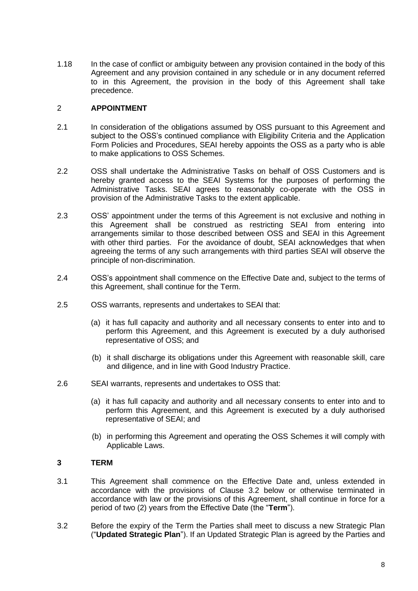1.18 In the case of conflict or ambiguity between any provision contained in the body of this Agreement and any provision contained in any schedule or in any document referred to in this Agreement, the provision in the body of this Agreement shall take precedence.

#### 2 **APPOINTMENT**

- 2.1 In consideration of the obligations assumed by OSS pursuant to this Agreement and subject to the OSS's continued compliance with Eligibility Criteria and the Application Form Policies and Procedures, SEAI hereby appoints the OSS as a party who is able to make applications to OSS Schemes.
- 2.2 OSS shall undertake the Administrative Tasks on behalf of OSS Customers and is hereby granted access to the SEAI Systems for the purposes of performing the Administrative Tasks. SEAI agrees to reasonably co-operate with the OSS in provision of the Administrative Tasks to the extent applicable.
- 2.3 OSS' appointment under the terms of this Agreement is not exclusive and nothing in this Agreement shall be construed as restricting SEAI from entering into arrangements similar to those described between OSS and SEAI in this Agreement with other third parties. For the avoidance of doubt, SEAI acknowledges that when agreeing the terms of any such arrangements with third parties SEAI will observe the principle of non-discrimination.
- 2.4 OSS's appointment shall commence on the Effective Date and, subject to the terms of this Agreement, shall continue for the Term.
- 2.5 OSS warrants, represents and undertakes to SEAI that:
	- (a) it has full capacity and authority and all necessary consents to enter into and to perform this Agreement, and this Agreement is executed by a duly authorised representative of OSS; and
	- (b) it shall discharge its obligations under this Agreement with reasonable skill, care and diligence, and in line with Good Industry Practice.
- 2.6 SEAI warrants, represents and undertakes to OSS that:
	- (a) it has full capacity and authority and all necessary consents to enter into and to perform this Agreement, and this Agreement is executed by a duly authorised representative of SEAI; and
	- (b) in performing this Agreement and operating the OSS Schemes it will comply with Applicable Laws.

#### **3 TERM**

- <span id="page-7-0"></span>3.1 This Agreement shall commence on the Effective Date and, unless extended in accordance with the provisions of Clause [3.2](#page-7-1) below or otherwise terminated in accordance with law or the provisions of this Agreement, shall continue in force for a period of two (2) years from the Effective Date (the "**Term**").
- <span id="page-7-1"></span>3.2 Before the expiry of the Term the Parties shall meet to discuss a new Strategic Plan ("**Updated Strategic Plan**"). If an Updated Strategic Plan is agreed by the Parties and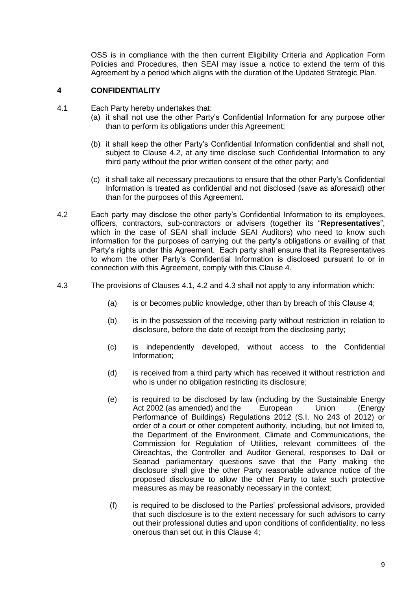OSS is in compliance with the then current Eligibility Criteria and Application Form Policies and Procedures, then SEAI may issue a notice to extend the term of this Agreement by a period which aligns with the duration of the Updated Strategic Plan.

#### <span id="page-8-1"></span>**4 CONFIDENTIALITY**

- <span id="page-8-2"></span>4.1 Each Party hereby undertakes that:
	- (a) it shall not use the other Party's Confidential Information for any purpose other than to perform its obligations under this Agreement;
	- (b) it shall keep the other Party's Confidential Information confidential and shall not, subject to Clause [4.2,](#page-8-0) at any time disclose such Confidential Information to any third party without the prior written consent of the other party; and
	- (c) it shall take all necessary precautions to ensure that the other Party's Confidential Information is treated as confidential and not disclosed (save as aforesaid) other than for the purposes of this Agreement.
- <span id="page-8-0"></span>4.2 Each party may disclose the other party's Confidential Information to its employees, officers, contractors, sub-contractors or advisers (together its "**Representatives**", which in the case of SEAI shall include SEAI Auditors) who need to know such information for the purposes of carrying out the party's obligations or availing of that Party's rights under this Agreement. Each party shall ensure that its Representatives to whom the other Party's Confidential Information is disclosed pursuant to or in connection with this Agreement, comply with this [Clause](http://commercial.practicallaw.com/2-107-3829) [4.](#page-8-1)
- <span id="page-8-3"></span>4.3 The provisions of Clauses [4.1,](#page-8-2) [4.2](#page-8-0) and [4.3](#page-8-3) shall not apply to any information which:
	- (a) is or becomes public knowledge, other than by breach of this Clause [4;](#page-8-1)
	- (b) is in the possession of the receiving party without restriction in relation to disclosure, before the date of receipt from the disclosing party;
	- (c) is independently developed, without access to the Confidential Information;
	- (d) is received from a third party which has received it without restriction and who is under no obligation restricting its disclosure;
	- (e) is required to be disclosed by law (including by the Sustainable Energy Act 2002 (as amended) and the European Union (Energy Performance of Buildings) Regulations 2012 (S.I. No 243 of 2012) or order of a court or other competent authority, including, but not limited to, the Department of the Environment, Climate and Communications, the Commission for Regulation of Utilities, relevant committees of the Oireachtas, the Controller and Auditor General, responses to Dail or Seanad parliamentary questions save that the Party making the disclosure shall give the other Party reasonable advance notice of the proposed disclosure to allow the other Party to take such protective measures as may be reasonably necessary in the context;
	- (f) is required to be disclosed to the Parties' professional advisors, provided that such disclosure is to the extent necessary for such advisors to carry out their professional duties and upon conditions of confidentiality, no less onerous than set out in this Clause [4;](#page-8-1)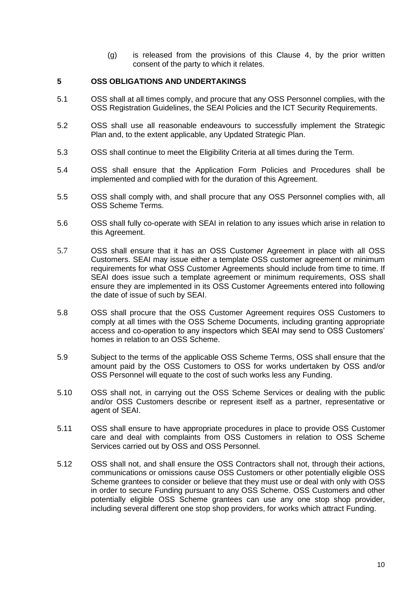(g) is released from the provisions of this Clause [4,](#page-8-1) by the prior written consent of the party to which it relates.

#### **5 OSS OBLIGATIONS AND UNDERTAKINGS**

- 5.1 OSS shall at all times comply, and procure that any OSS Personnel complies, with the OSS Registration Guidelines, the SEAI Policies and the ICT Security Requirements.
- 5.2 OSS shall use all reasonable endeavours to successfully implement the Strategic Plan and, to the extent applicable, any Updated Strategic Plan.
- 5.3 OSS shall continue to meet the Eligibility Criteria at all times during the Term.
- 5.4 OSS shall ensure that the Application Form Policies and Procedures shall be implemented and complied with for the duration of this Agreement.
- 5.5 OSS shall comply with, and shall procure that any OSS Personnel complies with, all OSS Scheme Terms.
- 5.6 OSS shall fully co-operate with SEAI in relation to any issues which arise in relation to this Agreement.
- 5.7 OSS shall ensure that it has an OSS Customer Agreement in place with all OSS Customers. SEAI may issue either a template OSS customer agreement or minimum requirements for what OSS Customer Agreements should include from time to time. If SEAI does issue such a template agreement or minimum requirements, OSS shall ensure they are implemented in its OSS Customer Agreements entered into following the date of issue of such by SEAI.
- 5.8 OSS shall procure that the OSS Customer Agreement requires OSS Customers to comply at all times with the OSS Scheme Documents, including granting appropriate access and co-operation to any inspectors which SEAI may send to OSS Customers' homes in relation to an OSS Scheme.
- 5.9 Subject to the terms of the applicable OSS Scheme Terms, OSS shall ensure that the amount paid by the OSS Customers to OSS for works undertaken by OSS and/or OSS Personnel will equate to the cost of such works less any Funding.
- 5.10 OSS shall not, in carrying out the OSS Scheme Services or dealing with the public and/or OSS Customers describe or represent itself as a partner, representative or agent of SEAI.
- 5.11 OSS shall ensure to have appropriate procedures in place to provide OSS Customer care and deal with complaints from OSS Customers in relation to OSS Scheme Services carried out by OSS and OSS Personnel.
- 5.12 OSS shall not, and shall ensure the OSS Contractors shall not, through their actions, communications or omissions cause OSS Customers or other potentially eligible OSS Scheme grantees to consider or believe that they must use or deal with only with OSS in order to secure Funding pursuant to any OSS Scheme. OSS Customers and other potentially eligible OSS Scheme grantees can use any one stop shop provider, including several different one stop shop providers, for works which attract Funding.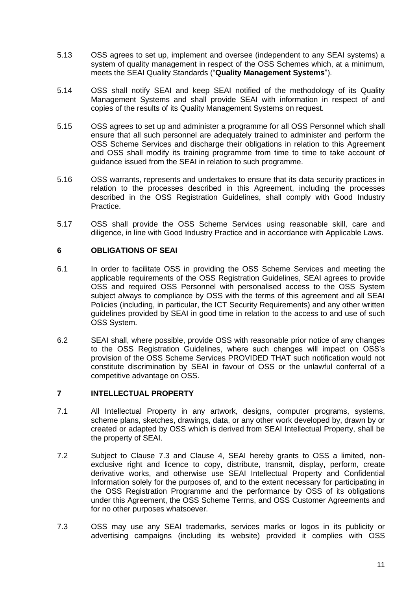- <span id="page-10-0"></span>5.13 OSS agrees to set up, implement and oversee (independent to any SEAI systems) a system of quality management in respect of the OSS Schemes which, at a minimum, meets the SEAI Quality Standards ("**Quality Management Systems**").
- 5.14 OSS shall notify SEAI and keep SEAI notified of the methodology of its Quality Management Systems and shall provide SEAI with information in respect of and copies of the results of its Quality Management Systems on request.
- 5.15 OSS agrees to set up and administer a programme for all OSS Personnel which shall ensure that all such personnel are adequately trained to administer and perform the OSS Scheme Services and discharge their obligations in relation to this Agreement and OSS shall modify its training programme from time to time to take account of guidance issued from the SEAI in relation to such programme.
- 5.16 OSS warrants, represents and undertakes to ensure that its data security practices in relation to the processes described in this Agreement, including the processes described in the OSS Registration Guidelines, shall comply with Good Industry Practice.
- 5.17 OSS shall provide the OSS Scheme Services using reasonable skill, care and diligence, in line with Good Industry Practice and in accordance with Applicable Laws.

#### **6 OBLIGATIONS OF SEAI**

- 6.1 In order to facilitate OSS in providing the OSS Scheme Services and meeting the applicable requirements of the OSS Registration Guidelines, SEAI agrees to provide OSS and required OSS Personnel with personalised access to the OSS System subject always to compliance by OSS with the terms of this agreement and all SEAI Policies (including, in particular, the ICT Security Requirements) and any other written guidelines provided by SEAI in good time in relation to the access to and use of such OSS System.
- 6.2 SEAI shall, where possible, provide OSS with reasonable prior notice of any changes to the OSS Registration Guidelines, where such changes will impact on OSS's provision of the OSS Scheme Services PROVIDED THAT such notification would not constitute discrimination by SEAI in favour of OSS or the unlawful conferral of a competitive advantage on OSS.

#### **7 INTELLECTUAL PROPERTY**

- 7.1 All Intellectual Property in any artwork, designs, computer programs, systems, scheme plans, sketches, drawings, data, or any other work developed by, drawn by or created or adapted by OSS which is derived from SEAI Intellectual Property, shall be the property of SEAI.
- <span id="page-10-2"></span>7.2 Subject to Clause [7.3](#page-10-1) and Clause [4,](#page-8-1) SEAI hereby grants to OSS a limited, nonexclusive right and licence to copy, distribute, transmit, display, perform, create derivative works, and otherwise use SEAI Intellectual Property and Confidential Information solely for the purposes of, and to the extent necessary for participating in the OSS Registration Programme and the performance by OSS of its obligations under this Agreement, the OSS Scheme Terms, and OSS Customer Agreements and for no other purposes whatsoever.
- <span id="page-10-1"></span>7.3 OSS may use any SEAI trademarks, services marks or logos in its publicity or advertising campaigns (including its website) provided it complies with OSS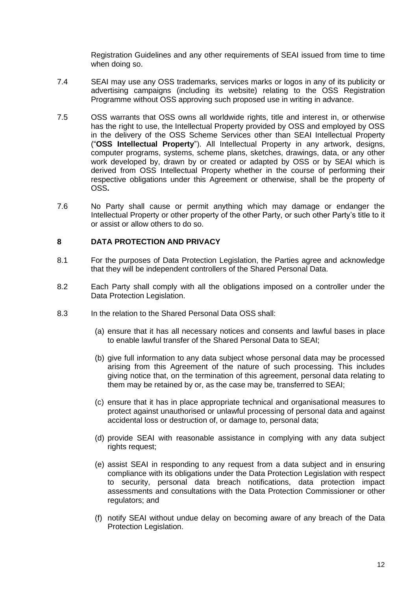Registration Guidelines and any other requirements of SEAI issued from time to time when doing so.

- 7.4 SEAI may use any OSS trademarks, services marks or logos in any of its publicity or advertising campaigns (including its website) relating to the OSS Registration Programme without OSS approving such proposed use in writing in advance.
- <span id="page-11-0"></span>7.5 OSS warrants that OSS owns all worldwide rights, title and interest in, or otherwise has the right to use, the Intellectual Property provided by OSS and employed by OSS in the delivery of the OSS Scheme Services other than SEAI Intellectual Property ("**OSS Intellectual Property**"). All Intellectual Property in any artwork, designs, computer programs, systems, scheme plans, sketches, drawings, data, or any other work developed by, drawn by or created or adapted by OSS or by SEAI which is derived from OSS Intellectual Property whether in the course of performing their respective obligations under this Agreement or otherwise, shall be the property of OSS**.**
- 7.6 No Party shall cause or permit anything which may damage or endanger the Intellectual Property or other property of the other Party, or such other Party's title to it or assist or allow others to do so.

#### **8 DATA PROTECTION AND PRIVACY**

- 8.1 For the purposes of Data Protection Legislation, the Parties agree and acknowledge that they will be independent controllers of the Shared Personal Data.
- 8.2 Each Party shall comply with all the obligations imposed on a controller under the Data Protection Legislation.
- 8.3 In the relation to the Shared Personal Data OSS shall:
	- (a) ensure that it has all necessary notices and consents and lawful bases in place to enable lawful transfer of the Shared Personal Data to SEAI;
	- (b) give full information to any data subject whose personal data may be processed arising from this Agreement of the nature of such processing. This includes giving notice that, on the termination of this agreement, personal data relating to them may be retained by or, as the case may be, transferred to SEAI;
	- (c) ensure that it has in place appropriate technical and organisational measures to protect against unauthorised or unlawful processing of personal data and against accidental loss or destruction of, or damage to, personal data;
	- (d) provide SEAI with reasonable assistance in complying with any data subject rights request;
	- (e) assist SEAI in responding to any request from a data subject and in ensuring compliance with its obligations under the Data Protection Legislation with respect to security, personal data breach notifications, data protection impact assessments and consultations with the Data Protection Commissioner or other regulators; and
	- (f) notify SEAI without undue delay on becoming aware of any breach of the Data Protection Legislation.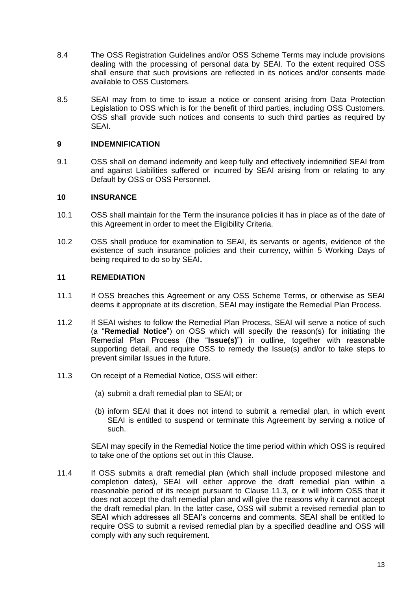- 8.4 The OSS Registration Guidelines and/or OSS Scheme Terms may include provisions dealing with the processing of personal data by SEAI. To the extent required OSS shall ensure that such provisions are reflected in its notices and/or consents made available to OSS Customers.
- 8.5 SEAI may from to time to issue a notice or consent arising from Data Protection Legislation to OSS which is for the benefit of third parties, including OSS Customers. OSS shall provide such notices and consents to such third parties as required by SEAI.

#### **9 INDEMNIFICATION**

9.1 OSS shall on demand indemnify and keep fully and effectively indemnified SEAI from and against Liabilities suffered or incurred by SEAI arising from or relating to any Default by OSS or OSS Personnel.

#### **10 INSURANCE**

- 10.1 OSS shall maintain for the Term the insurance policies it has in place as of the date of this Agreement in order to meet the Eligibility Criteria.
- 10.2 OSS shall produce for examination to SEAI, its servants or agents, evidence of the existence of such insurance policies and their currency, within 5 Working Days of being required to do so by SEAI**.**

#### **11 REMEDIATION**

- 11.1 If OSS breaches this Agreement or any OSS Scheme Terms, or otherwise as SEAI deems it appropriate at its discretion, SEAI may instigate the Remedial Plan Process.
- 11.2 If SEAI wishes to follow the Remedial Plan Process, SEAI will serve a notice of such (a "**Remedial Notice**") on OSS which will specify the reason(s) for initiating the Remedial Plan Process (the "**Issue(s)**") in outline, together with reasonable supporting detail, and require OSS to remedy the Issue(s) and/or to take steps to prevent similar Issues in the future.
- 11.3 On receipt of a Remedial Notice, OSS will either:
	- (a) submit a draft remedial plan to SEAI; or
	- (b) inform SEAI that it does not intend to submit a remedial plan, in which event SEAI is entitled to suspend or terminate this Agreement by serving a notice of such.

SEAI may specify in the Remedial Notice the time period within which OSS is required to take one of the options set out in this Clause.

11.4 If OSS submits a draft remedial plan (which shall include proposed milestone and completion dates), SEAI will either approve the draft remedial plan within a reasonable period of its receipt pursuant to Clause 11.3, or it will inform OSS that it does not accept the draft remedial plan and will give the reasons why it cannot accept the draft remedial plan. In the latter case, OSS will submit a revised remedial plan to SEAI which addresses all SEAI's concerns and comments. SEAI shall be entitled to require OSS to submit a revised remedial plan by a specified deadline and OSS will comply with any such requirement.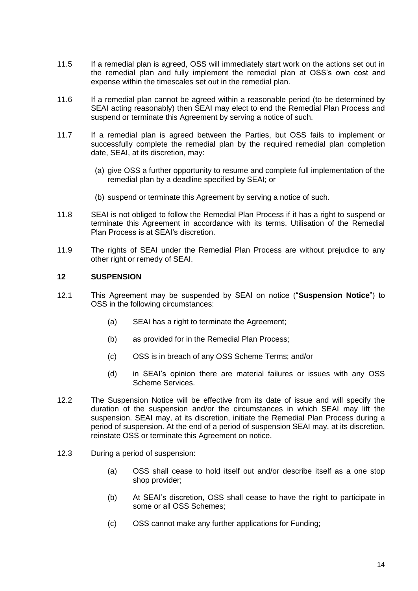- 11.5 If a remedial plan is agreed, OSS will immediately start work on the actions set out in the remedial plan and fully implement the remedial plan at OSS's own cost and expense within the timescales set out in the remedial plan.
- 11.6 If a remedial plan cannot be agreed within a reasonable period (to be determined by SEAI acting reasonably) then SEAI may elect to end the Remedial Plan Process and suspend or terminate this Agreement by serving a notice of such.
- 11.7 If a remedial plan is agreed between the Parties, but OSS fails to implement or successfully complete the remedial plan by the required remedial plan completion date, SEAI, at its discretion, may:
	- (a) give OSS a further opportunity to resume and complete full implementation of the remedial plan by a deadline specified by SEAI; or
	- (b) suspend or terminate this Agreement by serving a notice of such.
- 11.8 SEAI is not obliged to follow the Remedial Plan Process if it has a right to suspend or terminate this Agreement in accordance with its terms. Utilisation of the Remedial Plan Process is at SEAI's discretion.
- 11.9 The rights of SEAI under the Remedial Plan Process are without prejudice to any other right or remedy of SEAI.

#### **12 SUSPENSION**

- 12.1 This Agreement may be suspended by SEAI on notice ("**Suspension Notice**") to OSS in the following circumstances:
	- (a) SEAI has a right to terminate the Agreement;
	- (b) as provided for in the Remedial Plan Process;
	- (c) OSS is in breach of any OSS Scheme Terms; and/or
	- (d) in SEAI's opinion there are material failures or issues with any OSS Scheme Services.
- 12.2 The Suspension Notice will be effective from its date of issue and will specify the duration of the suspension and/or the circumstances in which SEAI may lift the suspension. SEAI may, at its discretion, initiate the Remedial Plan Process during a period of suspension. At the end of a period of suspension SEAI may, at its discretion, reinstate OSS or terminate this Agreement on notice.
- 12.3 During a period of suspension:
	- (a) OSS shall cease to hold itself out and/or describe itself as a one stop shop provider;
	- (b) At SEAI's discretion, OSS shall cease to have the right to participate in some or all OSS Schemes;
	- (c) OSS cannot make any further applications for Funding;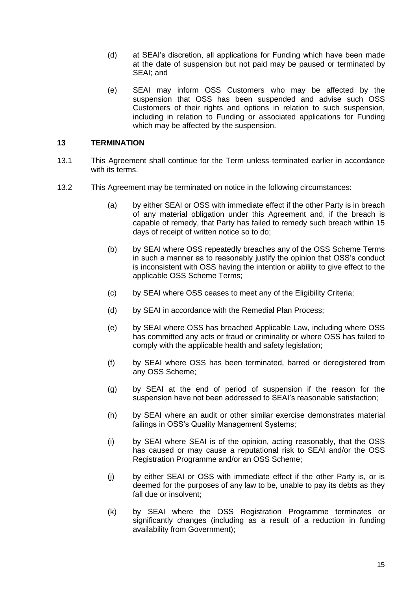- (d) at SEAI's discretion, all applications for Funding which have been made at the date of suspension but not paid may be paused or terminated by SEAI; and
- (e) SEAI may inform OSS Customers who may be affected by the suspension that OSS has been suspended and advise such OSS Customers of their rights and options in relation to such suspension, including in relation to Funding or associated applications for Funding which may be affected by the suspension.

#### **13 TERMINATION**

- 13.1 This Agreement shall continue for the Term unless terminated earlier in accordance with its terms.
- 13.2 This Agreement may be terminated on notice in the following circumstances:
	- (a) by either SEAI or OSS with immediate effect if the other Party is in breach of any material obligation under this Agreement and, if the breach is capable of remedy, that Party has failed to remedy such breach within 15 days of receipt of written notice so to do;
	- (b) by SEAI where OSS repeatedly breaches any of the OSS Scheme Terms in such a manner as to reasonably justify the opinion that OSS's conduct is inconsistent with OSS having the intention or ability to give effect to the applicable OSS Scheme Terms;
	- (c) by SEAI where OSS ceases to meet any of the Eligibility Criteria;
	- (d) by SEAI in accordance with the Remedial Plan Process;
	- (e) by SEAI where OSS has breached Applicable Law, including where OSS has committed any acts or fraud or criminality or where OSS has failed to comply with the applicable health and safety legislation;
	- (f) by SEAI where OSS has been terminated, barred or deregistered from any OSS Scheme;
	- (g) by SEAI at the end of period of suspension if the reason for the suspension have not been addressed to SEAI's reasonable satisfaction;
	- (h) by SEAI where an audit or other similar exercise demonstrates material failings in OSS's Quality Management Systems;
	- (i) by SEAI where SEAI is of the opinion, acting reasonably, that the OSS has caused or may cause a reputational risk to SEAI and/or the OSS Registration Programme and/or an OSS Scheme;
	- (j) by either SEAI or OSS with immediate effect if the other Party is, or is deemed for the purposes of any law to be, unable to pay its debts as they fall due or insolvent;
	- (k) by SEAI where the OSS Registration Programme terminates or significantly changes (including as a result of a reduction in funding availability from Government);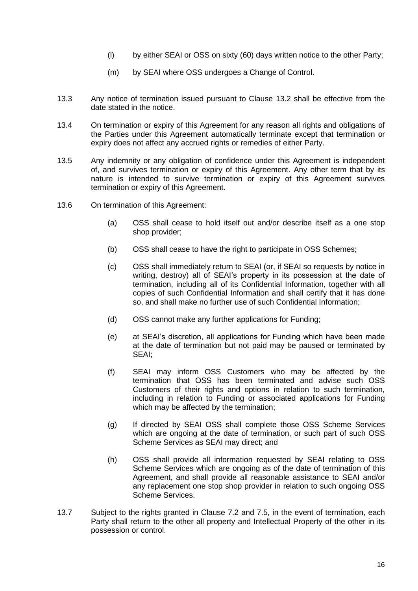- (l) by either SEAI or OSS on sixty (60) days written notice to the other Party;
- (m) by SEAI where OSS undergoes a Change of Control.
- 13.3 Any notice of termination issued pursuant to Clause 13.2 shall be effective from the date stated in the notice.
- 13.4 On termination or expiry of this Agreement for any reason all rights and obligations of the Parties under this Agreement automatically terminate except that termination or expiry does not affect any accrued rights or remedies of either Party.
- 13.5 Any indemnity or any obligation of confidence under this Agreement is independent of, and survives termination or expiry of this Agreement. Any other term that by its nature is intended to survive termination or expiry of this Agreement survives termination or expiry of this Agreement.
- 13.6 On termination of this Agreement:
	- (a) OSS shall cease to hold itself out and/or describe itself as a one stop shop provider;
	- (b) OSS shall cease to have the right to participate in OSS Schemes;
	- (c) OSS shall immediately return to SEAI (or, if SEAI so requests by notice in writing, destroy) all of SEAI's property in its possession at the date of termination, including all of its Confidential Information, together with all copies of such Confidential Information and shall certify that it has done so, and shall make no further use of such Confidential Information;
	- (d) OSS cannot make any further applications for Funding;
	- (e) at SEAI's discretion, all applications for Funding which have been made at the date of termination but not paid may be paused or terminated by SEAI;
	- (f) SEAI may inform OSS Customers who may be affected by the termination that OSS has been terminated and advise such OSS Customers of their rights and options in relation to such termination, including in relation to Funding or associated applications for Funding which may be affected by the termination;
	- (g) If directed by SEAI OSS shall complete those OSS Scheme Services which are ongoing at the date of termination, or such part of such OSS Scheme Services as SEAI may direct; and
	- (h) OSS shall provide all information requested by SEAI relating to OSS Scheme Services which are ongoing as of the date of termination of this Agreement, and shall provide all reasonable assistance to SEAI and/or any replacement one stop shop provider in relation to such ongoing OSS Scheme Services.
- 13.7 Subject to the rights granted in Clause [7.2](#page-10-2) and [7.5,](#page-11-0) in the event of termination, each Party shall return to the other all property and Intellectual Property of the other in its possession or control.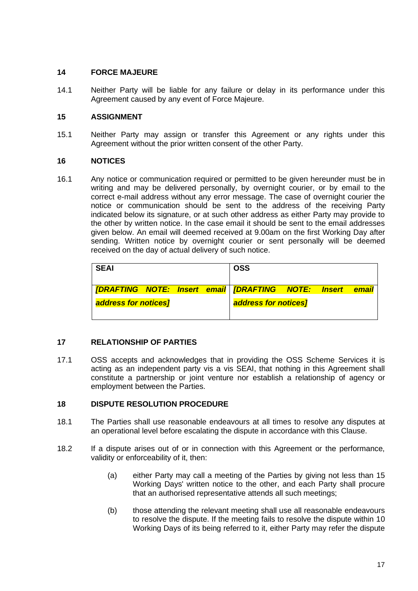### **14 FORCE MAJEURE**

14.1 Neither Party will be liable for any failure or delay in its performance under this Agreement caused by any event of Force Majeure.

## **15 ASSIGNMENT**

15.1 Neither Party may assign or transfer this Agreement or any rights under this Agreement without the prior written consent of the other Party.

## **16 NOTICES**

16.1 Any notice or communication required or permitted to be given hereunder must be in writing and may be delivered personally, by overnight courier, or by email to the correct e-mail address without any error message. The case of overnight courier the notice or communication should be sent to the address of the receiving Party indicated below its signature, or at such other address as either Party may provide to the other by written notice. In the case email it should be sent to the email addresses given below. An email will deemed received at 9.00am on the first Working Day after sending. Written notice by overnight courier or sent personally will be deemed received on the day of actual delivery of such notice.

| SEAI                        |  |  |                      | <b>OSS</b>                                                       |  |  |  |
|-----------------------------|--|--|----------------------|------------------------------------------------------------------|--|--|--|
|                             |  |  |                      | <b>TDRAFTING NOTE: Insert email [DRAFTING NOTE: Insert email</b> |  |  |  |
| <b>address for notices]</b> |  |  | address for notices] |                                                                  |  |  |  |
|                             |  |  |                      |                                                                  |  |  |  |

## **17 RELATIONSHIP OF PARTIES**

17.1 OSS accepts and acknowledges that in providing the OSS Scheme Services it is acting as an independent party vis a vis SEAI, that nothing in this Agreement shall constitute a partnership or joint venture nor establish a relationship of agency or employment between the Parties.

#### <span id="page-16-0"></span>**18 DISPUTE RESOLUTION PROCEDURE**

- 18.1 The Parties shall use reasonable endeavours at all times to resolve any disputes at an operational level before escalating the dispute in accordance with this Clause.
- 18.2 If a dispute arises out of or in connection with this Agreement or the performance, validity or enforceability of it, then:
	- (a) either Party may call a meeting of the Parties by giving not less than 15 Working Days' written notice to the other, and each Party shall procure that an authorised representative attends all such meetings;
	- (b) those attending the relevant meeting shall use all reasonable endeavours to resolve the dispute. If the meeting fails to resolve the dispute within 10 Working Days of its being referred to it, either Party may refer the dispute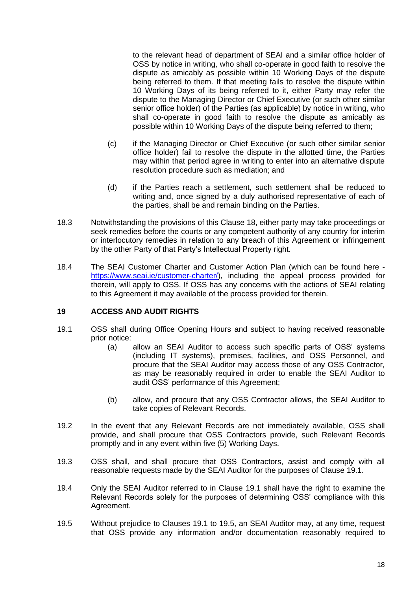to the relevant head of department of SEAI and a similar office holder of OSS by notice in writing, who shall co-operate in good faith to resolve the dispute as amicably as possible within 10 Working Days of the dispute being referred to them. If that meeting fails to resolve the dispute within 10 Working Days of its being referred to it, either Party may refer the dispute to the Managing Director or Chief Executive (or such other similar senior office holder) of the Parties (as applicable) by notice in writing, who shall co-operate in good faith to resolve the dispute as amicably as possible within 10 Working Days of the dispute being referred to them;

- (c) if the Managing Director or Chief Executive (or such other similar senior office holder) fail to resolve the dispute in the allotted time, the Parties may within that period agree in writing to enter into an alternative dispute resolution procedure such as mediation; and
- (d) if the Parties reach a settlement, such settlement shall be reduced to writing and, once signed by a duly authorised representative of each of the parties, shall be and remain binding on the Parties.
- 18.3 Notwithstanding the provisions of this Clause 18, either party may take proceedings or seek remedies before the courts or any competent authority of any country for interim or interlocutory remedies in relation to any breach of this Agreement or infringement by the other Party of that Party's Intellectual Property right.
- 18.4 The SEAI Customer Charter and Customer Action Plan (which can be found here [https://www.seai.ie/customer-charter/\)](https://www.seai.ie/customer-charter/), including the appeal process provided for therein, will apply to OSS. If OSS has any concerns with the actions of SEAI relating to this Agreement it may available of the process provided for therein.

#### <span id="page-17-0"></span>**19 ACCESS AND AUDIT RIGHTS**

- <span id="page-17-1"></span>19.1 OSS shall during Office Opening Hours and subject to having received reasonable prior notice:
	- (a) allow an SEAI Auditor to access such specific parts of OSS' systems (including IT systems), premises, facilities, and OSS Personnel, and procure that the SEAI Auditor may access those of any OSS Contractor, as may be reasonably required in order to enable the SEAI Auditor to audit OSS' performance of this Agreement;
	- (b) allow, and procure that any OSS Contractor allows, the SEAI Auditor to take copies of Relevant Records.
- 19.2 In the event that any Relevant Records are not immediately available, OSS shall provide, and shall procure that OSS Contractors provide, such Relevant Records promptly and in any event within five (5) Working Days.
- 19.3 OSS shall, and shall procure that OSS Contractors, assist and comply with all reasonable requests made by the SEAI Auditor for the purposes of Clause [19.1.](#page-17-1)
- 19.4 Only the SEAI Auditor referred to in Clause [19.1](#page-17-1) shall have the right to examine the Relevant Records solely for the purposes of determining OSS' compliance with this Agreement.
- <span id="page-17-2"></span>19.5 Without prejudice to Clauses [19.1](#page-17-1) to [19.5,](#page-17-2) an SEAI Auditor may, at any time, request that OSS provide any information and/or documentation reasonably required to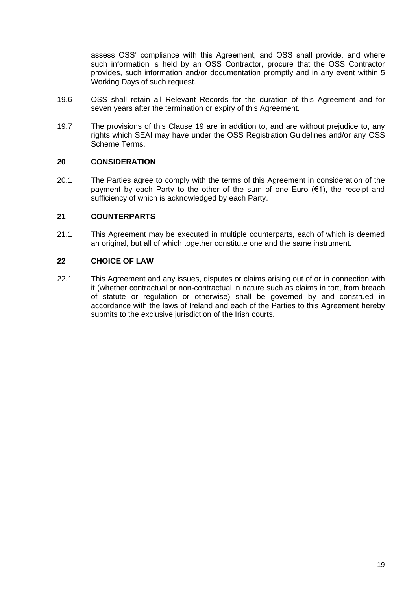assess OSS' compliance with this Agreement, and OSS shall provide, and where such information is held by an OSS Contractor, procure that the OSS Contractor provides, such information and/or documentation promptly and in any event within 5 Working Days of such request.

- 19.6 OSS shall retain all Relevant Records for the duration of this Agreement and for seven years after the termination or expiry of this Agreement.
- 19.7 The provisions of this Clause 19 are in addition to, and are without prejudice to, any rights which SEAI may have under the OSS Registration Guidelines and/or any OSS Scheme Terms.

#### **20 CONSIDERATION**

20.1 The Parties agree to comply with the terms of this Agreement in consideration of the payment by each Party to the other of the sum of one Euro (€1), the receipt and sufficiency of which is acknowledged by each Party.

### **21 COUNTERPARTS**

21.1 This Agreement may be executed in multiple counterparts, each of which is deemed an original, but all of which together constitute one and the same instrument.

### **22 CHOICE OF LAW**

22.1 This Agreement and any issues, disputes or claims arising out of or in connection with it (whether contractual or non-contractual in nature such as claims in tort, from breach of statute or regulation or otherwise) shall be governed by and construed in accordance with the laws of Ireland and each of the Parties to this Agreement hereby submits to the exclusive jurisdiction of the Irish courts.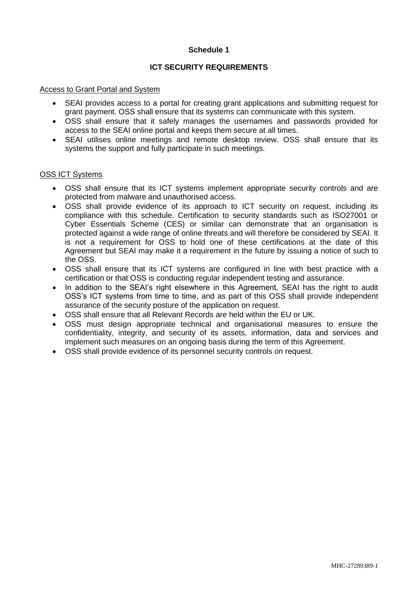#### **Schedule 1**

### **ICT SECURITY REQUIREMENTS**

#### <span id="page-19-0"></span>Access to Grant Portal and System

- SEAI provides access to a portal for creating grant applications and submitting request for grant payment. OSS shall ensure that its systems can communicate with this system.
- OSS shall ensure that it safely manages the usernames and passwords provided for access to the SEAI online portal and keeps them secure at all times.
- SEAI utilises online meetings and remote desktop review. OSS shall ensure that its systems the support and fully participate in such meetings.

#### OSS ICT Systems

- OSS shall ensure that its ICT systems implement appropriate security controls and are protected from malware and unauthorised access.
- OSS shall provide evidence of its approach to ICT security on request, including its compliance with this schedule. Certification to security standards such as ISO27001 or Cyber Essentials Scheme (CES) or similar can demonstrate that an organisation is protected against a wide range of online threats and will therefore be considered by SEAI. It is not a requirement for OSS to hold one of these certifications at the date of this Agreement but SEAI may make it a requirement in the future by issuing a notice of such to the OSS.
- OSS shall ensure that its ICT systems are configured in line with best practice with a certification or that OSS is conducting regular independent testing and assurance.
- In addition to the SEAI's right elsewhere in this Agreement, SEAI has the right to audit OSS's ICT systems from time to time, and as part of this OSS shall provide independent assurance of the security posture of the application on request.
- OSS shall ensure that all Relevant Records are held within the EU or UK.
- OSS must design appropriate technical and organisational measures to ensure the confidentiality, integrity, and security of its assets, information, data and services and implement such measures on an ongoing basis during the term of this Agreement.
- OSS shall provide evidence of its personnel security controls on request.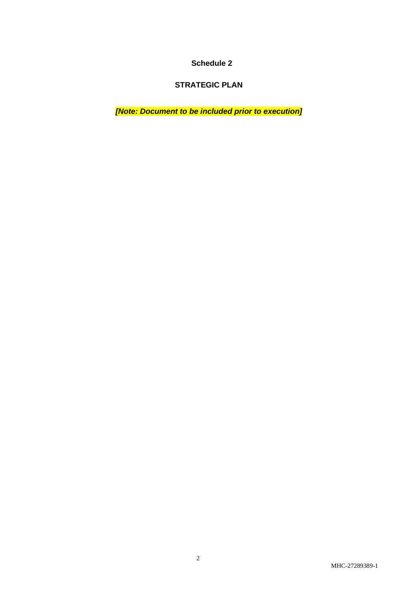**Schedule 2**

# **STRATEGIC PLAN**

*[Note: Document to be included prior to execution]*